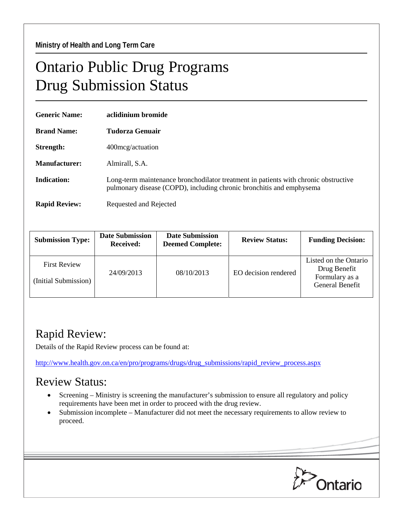## Ontario Public Drug Programs Drug Submission Status

| <b>Generic Name:</b> | aclidinium bromide                                                                                                                                          |  |
|----------------------|-------------------------------------------------------------------------------------------------------------------------------------------------------------|--|
| <b>Brand Name:</b>   | Tudorza Genuair                                                                                                                                             |  |
| Strength:            | 400 mcg/actuation                                                                                                                                           |  |
| Manufacturer:        | Almirall, S.A.                                                                                                                                              |  |
| Indication:          | Long-term maintenance bronchodilator treatment in patients with chronic obstructive<br>pulmonary disease (COPD), including chronic bronchitis and emphysema |  |
| <b>Rapid Review:</b> | Requested and Rejected                                                                                                                                      |  |

| <b>Submission Type:</b>                     | <b>Date Submission</b><br><b>Received:</b> | <b>Date Submission</b><br><b>Deemed Complete:</b> | <b>Review Status:</b> | <b>Funding Decision:</b>                                                   |
|---------------------------------------------|--------------------------------------------|---------------------------------------------------|-----------------------|----------------------------------------------------------------------------|
| <b>First Review</b><br>(Initial Submission) | 24/09/2013                                 | 08/10/2013                                        | EO decision rendered  | Listed on the Ontario<br>Drug Benefit<br>Formulary as a<br>General Benefit |

## Rapid Review:

Details of the Rapid Review process can be found at:

[http://www.health.gov.on.ca/en/pro/programs/drugs/drug\\_submissions/rapid\\_review\\_process.aspx](http://www.health.gov.on.ca/en/pro/programs/drugs/drug_submissions/rapid_review_process.aspx)

## Review Status:

- Screening Ministry is screening the manufacturer's submission to ensure all regulatory and policy requirements have been met in order to proceed with the drug review.
- Submission incomplete Manufacturer did not meet the necessary requirements to allow review to proceed.